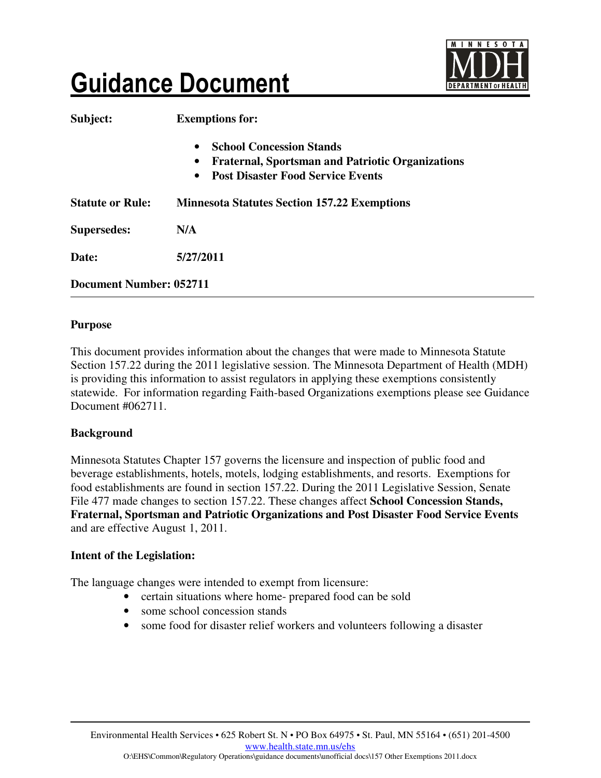

# **Guidance Document**

| Subject:                       | <b>Exemptions for:</b>                                                                                                                                                        |
|--------------------------------|-------------------------------------------------------------------------------------------------------------------------------------------------------------------------------|
|                                | <b>School Concession Stands</b><br>$\bullet$<br><b>Fraternal, Sportsman and Patriotic Organizations</b><br>$\bullet$<br><b>Post Disaster Food Service Events</b><br>$\bullet$ |
| <b>Statute or Rule:</b>        | <b>Minnesota Statutes Section 157.22 Exemptions</b>                                                                                                                           |
| <b>Supersedes:</b>             | N/A                                                                                                                                                                           |
| Date:                          | 5/27/2011                                                                                                                                                                     |
| <b>Document Number: 052711</b> |                                                                                                                                                                               |

#### **Purpose**

This document provides information about the changes that were made to Minnesota Statute Section 157.22 during the 2011 legislative session. The Minnesota Department of Health (MDH) is providing this information to assist regulators in applying these exemptions consistently statewide. For information regarding Faith-based Organizations exemptions please see Guidance Document #062711.

#### **Background**

Minnesota Statutes Chapter 157 governs the licensure and inspection of public food and beverage establishments, hotels, motels, lodging establishments, and resorts. Exemptions for food establishments are found in section 157.22. During the 2011 Legislative Session, Senate File 477 made changes to section 157.22. These changes affect **School Concession Stands, Fraternal, Sportsman and Patriotic Organizations and Post Disaster Food Service Events** and are effective August 1, 2011.

## **Intent of the Legislation:**

The language changes were intended to exempt from licensure:

- certain situations where home- prepared food can be sold
- some school concession stands
- some food for disaster relief workers and volunteers following a disaster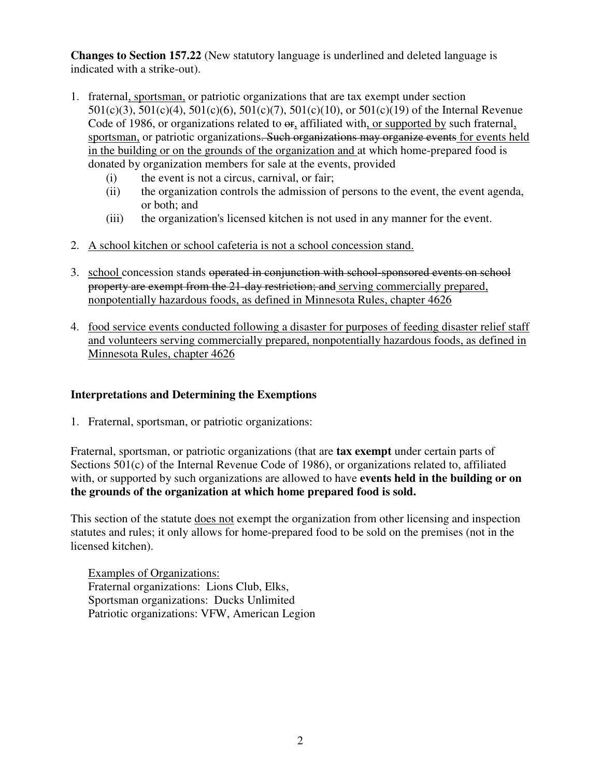**Changes to Section 157.22** (New statutory language is underlined and deleted language is indicated with a strike-out).

- 1. fraternal, sportsman, or patriotic organizations that are tax exempt under section 501(c)(3), 501(c)(4), 501(c)(6), 501(c)(7), 501(c)(10), or 501(c)(19) of the Internal Revenue Code of 1986, or organizations related to  $\Theta$ , affiliated with, or supported by such fraternal, sportsman, or patriotic organizations. Such organizations may organize events for events held in the building or on the grounds of the organization and at which home-prepared food is donated by organization members for sale at the events, provided
	- (i) the event is not a circus, carnival, or fair;
	- (ii) the organization controls the admission of persons to the event, the event agenda, or both; and
	- (iii) the organization's licensed kitchen is not used in any manner for the event.
- 2. A school kitchen or school cafeteria is not a school concession stand.
- 3. school concession stands operated in conjunction with school-sponsored events on schoolproperty are exempt from the 21-day restriction; and serving commercially prepared, nonpotentially hazardous foods, as defined in Minnesota Rules, chapter 4626
- 4. food service events conducted following a disaster for purposes of feeding disaster relief staff and volunteers serving commercially prepared, nonpotentially hazardous foods, as defined in Minnesota Rules, chapter 4626

## **Interpretations and Determining the Exemptions**

1. Fraternal, sportsman, or patriotic organizations:

Fraternal, sportsman, or patriotic organizations (that are **tax exempt** under certain parts of Sections 501(c) of the Internal Revenue Code of 1986), or organizations related to, affiliated with, or supported by such organizations are allowed to have **events held in the building or on the grounds of the organization at which home prepared food is sold.**

This section of the statute does not exempt the organization from other licensing and inspection statutes and rules; it only allows for home-prepared food to be sold on the premises (not in the licensed kitchen).

Examples of Organizations: Fraternal organizations: Lions Club, Elks, Sportsman organizations: Ducks Unlimited Patriotic organizations: VFW, American Legion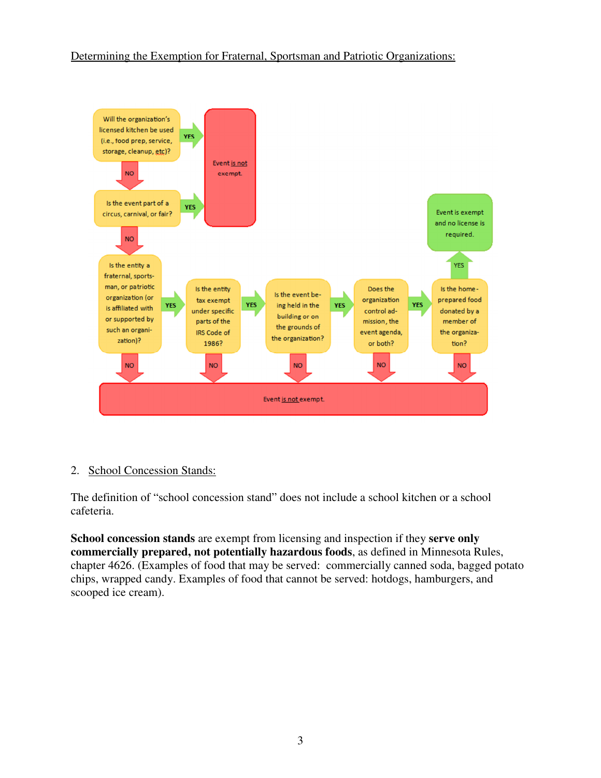### Determining the Exemption for Fraternal, Sportsman and Patriotic Organizations:



#### 2. School Concession Stands:

The definition of "school concession stand" does not include a school kitchen or a school cafeteria.

**School concession stands** are exempt from licensing and inspection if they **serve only commercially prepared, not potentially hazardous foods**, as defined in Minnesota Rules, chapter 4626. (Examples of food that may be served: commercially canned soda, bagged potato chips, wrapped candy. Examples of food that cannot be served: hotdogs, hamburgers, and scooped ice cream).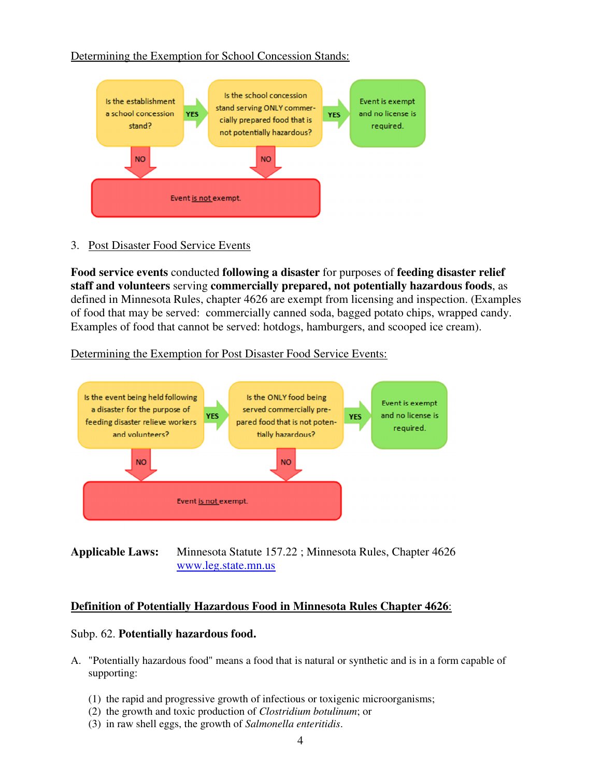Determining the Exemption for School Concession Stands:



3. Post Disaster Food Service Events

**Food service events** conducted **following a disaster** for purposes of **feeding disaster relief staff and volunteers** serving **commercially prepared, not potentially hazardous foods**, as defined in Minnesota Rules, chapter 4626 are exempt from licensing and inspection. (Examples of food that may be served: commercially canned soda, bagged potato chips, wrapped candy. Examples of food that cannot be served: hotdogs, hamburgers, and scooped ice cream).

Determining the Exemption for Post Disaster Food Service Events:



**Applicable Laws:** Minnesota Statute 157.22 ; Minnesota Rules, Chapter 4626 www.leg.state.mn.us

## **Definition of Potentially Hazardous Food in Minnesota Rules Chapter 4626**:

#### Subp. 62. **Potentially hazardous food.**

- A. "Potentially hazardous food" means a food that is natural or synthetic and is in a form capable of supporting:
	- (1) the rapid and progressive growth of infectious or toxigenic microorganisms;
	- (2) the growth and toxic production of *Clostridium botulinum*; or
	- (3) in raw shell eggs, the growth of *Salmonella enteritidis*.